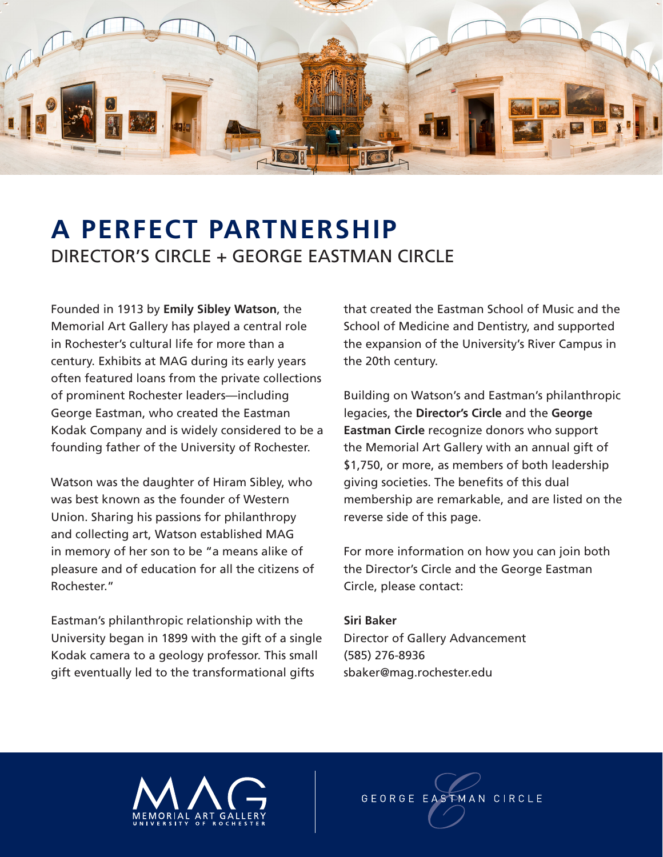

## **A PERFECT PARTNERSHIP** DIRECTOR'S CIRCLE + GEORGE EASTMAN CIRCLE

Founded in 1913 by **Emily Sibley Watson**, the Memorial Art Gallery has played a central role in Rochester's cultural life for more than a century. Exhibits at MAG during its early years often featured loans from the private collections of prominent Rochester leaders—including George Eastman, who created the Eastman Kodak Company and is widely considered to be a founding father of the University of Rochester.

Watson was the daughter of Hiram Sibley, who was best known as the founder of Western Union. Sharing his passions for philanthropy and collecting art, Watson established MAG in memory of her son to be "a means alike of pleasure and of education for all the citizens of Rochester."

Eastman's philanthropic relationship with the University began in 1899 with the gift of a single Kodak camera to a geology professor. This small gift eventually led to the transformational gifts

that created the Eastman School of Music and the School of Medicine and Dentistry, and supported the expansion of the University's River Campus in the 20th century.

Building on Watson's and Eastman's philanthropic legacies, the **Director's Circle** and the **George Eastman Circle** recognize donors who support the Memorial Art Gallery with an annual gift of \$1,750, or more, as members of both leadership giving societies. The benefits of this dual membership are remarkable, and are listed on the reverse side of this page.

For more information on how you can join both the Director's Circle and the George Eastman Circle, please contact:

## **Siri Baker**

Director of Gallery Advancement (585) 276-8936 sbaker@mag.rochester.edu